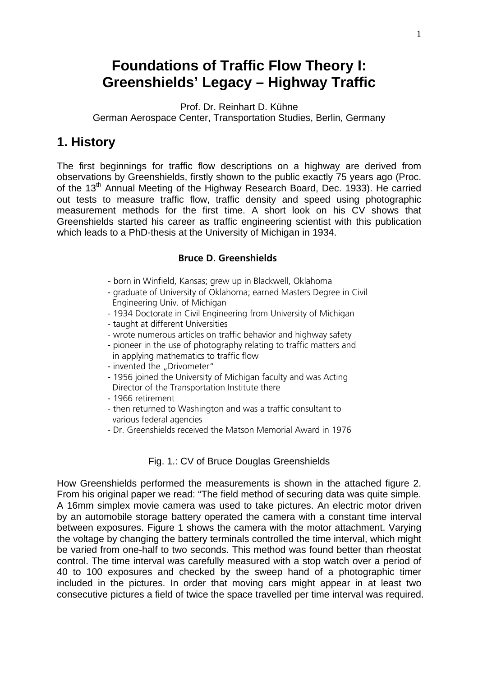# **Foundations of Traffic Flow Theory I: Greenshields' Legacy – Highway Traffic**

Prof. Dr. Reinhart D. Kühne German Aerospace Center, Transportation Studies, Berlin, Germany

#### **1. History**

The first beginnings for traffic flow descriptions on a highway are derived from observations by Greenshields, firstly shown to the public exactly 75 years ago (Proc. of the 13<sup>th</sup> Annual Meeting of the Highway Research Board, Dec. 1933). He carried out tests to measure traffic flow, traffic density and speed using photographic measurement methods for the first time. A short look on his CV shows that Greenshields started his career as traffic engineering scientist with this publication which leads to a PhD-thesis at the University of Michigan in 1934.

#### **Bruce D. Greenshields**

- born in Winfield, Kansas; grew up in Blackwell, Oklahoma
- graduate of University of Oklahoma; earned Masters Degree in Civil Engineering Univ. of Michigan
- 1934 Doctorate in Civil Engineering from University of Michigan
- taught at different Universities
- wrote numerous articles on traffic behavior and highway safety
- pioneer in the use of photography relating to traffic matters and in applying mathematics to traffic flow
- invented the "Drivometer"
- 1956 joined the University of Michigan faculty and was Acting Director of the Transportation Institute there
- 1966 retirement
- then returned to Washington and was a traffic consultant to various federal agencies
- Dr. Greenshields received the Matson Memorial Award in 1976

#### Fig. 1.: CV of Bruce Douglas Greenshields

How Greenshields performed the measurements is shown in the attached figure 2. From his original paper we read: "The field method of securing data was quite simple. A 16mm simplex movie camera was used to take pictures. An electric motor driven by an automobile storage battery operated the camera with a constant time interval between exposures. Figure 1 shows the camera with the motor attachment. Varying the voltage by changing the battery terminals controlled the time interval, which might be varied from one-half to two seconds. This method was found better than rheostat control. The time interval was carefully measured with a stop watch over a period of 40 to 100 exposures and checked by the sweep hand of a photographic timer included in the pictures. In order that moving cars might appear in at least two consecutive pictures a field of twice the space travelled per time interval was required.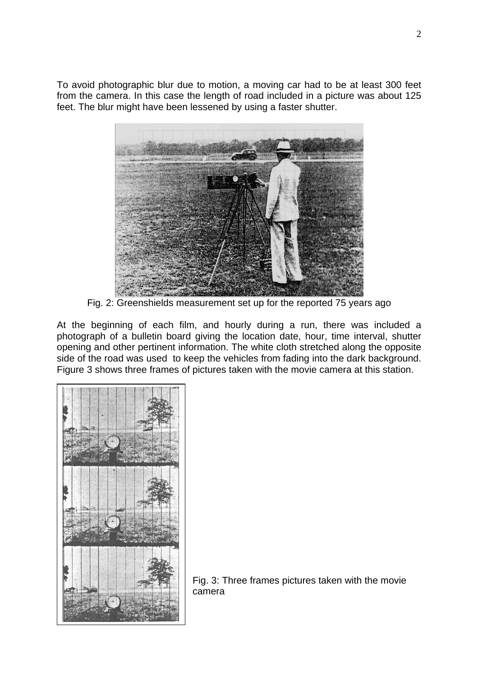To avoid photographic blur due to motion, a moving car had to be at least 300 feet from the camera. In this case the length of road included in a picture was about 125 feet. The blur might have been lessened by using a faster shutter.



Fig. 2: Greenshields measurement set up for the reported 75 years ago

At the beginning of each film, and hourly during a run, there was included a photograph of a bulletin board giving the location date, hour, time interval, shutter opening and other pertinent information. The white cloth stretched along the opposite side of the road was used to keep the vehicles from fading into the dark background. Figure 3 shows three frames of pictures taken with the movie camera at this station.



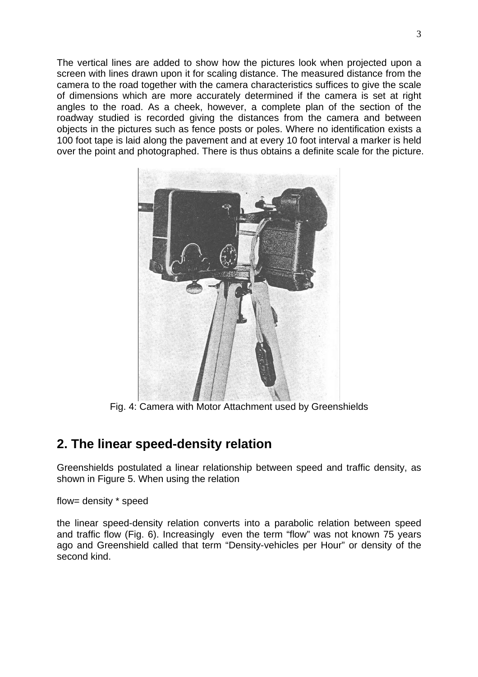The vertical lines are added to show how the pictures look when projected upon a screen with lines drawn upon it for scaling distance. The measured distance from the camera to the road together with the camera characteristics suffices to give the scale of dimensions which are more accurately determined if the camera is set at right angles to the road. As a cheek, however, a complete plan of the section of the roadway studied is recorded giving the distances from the camera and between objects in the pictures such as fence posts or poles. Where no identification exists a 100 foot tape is laid along the pavement and at every 10 foot interval a marker is held over the point and photographed. There is thus obtains a definite scale for the picture.



Fig. 4: Camera with Motor Attachment used by Greenshields

### **2. The linear speed-density relation**

Greenshields postulated a linear relationship between speed and traffic density, as shown in Figure 5. When using the relation

flow= density \* speed

the linear speed-density relation converts into a parabolic relation between speed and traffic flow (Fig. 6). Increasingly even the term "flow" was not known 75 years ago and Greenshield called that term "Density-vehicles per Hour" or density of the second kind.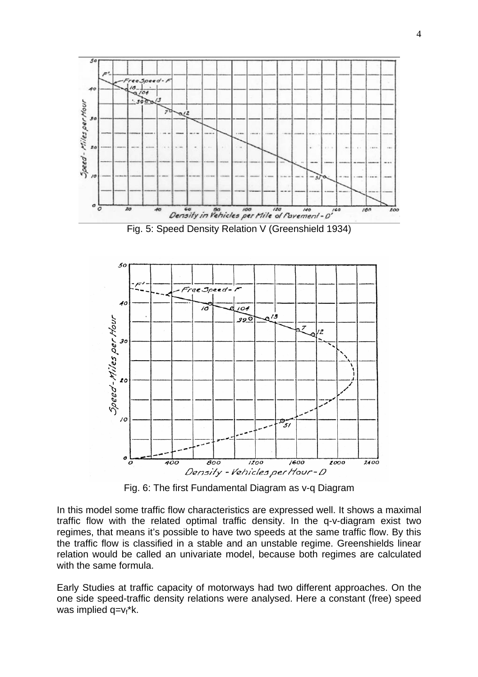

Fig. 6: The first Fundamental Diagram as v-q Diagram

In this model some traffic flow characteristics are expressed well. It shows a maximal traffic flow with the related optimal traffic density. In the q-v-diagram exist two regimes, that means it's possible to have two speeds at the same traffic flow. By this the traffic flow is classified in a stable and an unstable regime. Greenshields linear relation would be called an univariate model, because both regimes are calculated with the same formula.

Early Studies at traffic capacity of motorways had two different approaches. On the one side speed-traffic density relations were analysed. Here a constant (free) speed was implied  $q=v_f^*k$ .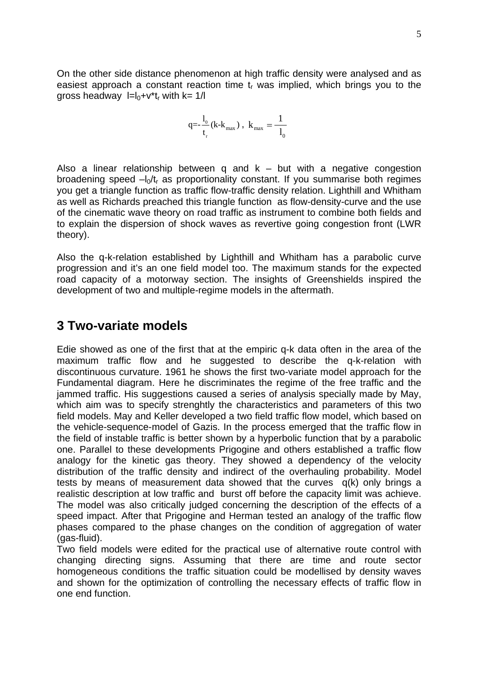On the other side distance phenomenon at high traffic density were analysed and as easiest approach a constant reaction time  $t_r$  was implied, which brings you to the gross headway  $I=I_0+V^*t_r$  with  $k=1/I$ 

$$
q = -\frac{1}{t_r} (k - k_{max})
$$
,  $k_{max} = \frac{1}{l_0}$ 

Also a linear relationship between q and  $k -$  but with a negative congestion broadening speed  $-l_0/t_r$  as proportionality constant. If you summarise both regimes you get a triangle function as traffic flow-traffic density relation. Lighthill and Whitham as well as Richards preached this triangle function as flow-density-curve and the use of the cinematic wave theory on road traffic as instrument to combine both fields and to explain the dispersion of shock waves as revertive going congestion front (LWR theory).

Also the q-k-relation established by Lighthill and Whitham has a parabolic curve progression and it's an one field model too. The maximum stands for the expected road capacity of a motorway section. The insights of Greenshields inspired the development of two and multiple-regime models in the aftermath.

#### **3 Two-variate models**

Edie showed as one of the first that at the empiric q-k data often in the area of the maximum traffic flow and he suggested to describe the q-k-relation with discontinuous curvature. 1961 he shows the first two-variate model approach for the Fundamental diagram. Here he discriminates the regime of the free traffic and the jammed traffic. His suggestions caused a series of analysis specially made by May, which aim was to specify strenghtly the characteristics and parameters of this two field models. May and Keller developed a two field traffic flow model, which based on the vehicle-sequence-model of Gazis. In the process emerged that the traffic flow in the field of instable traffic is better shown by a hyperbolic function that by a parabolic one. Parallel to these developments Prigogine and others established a traffic flow analogy for the kinetic gas theory. They showed a dependency of the velocity distribution of the traffic density and indirect of the overhauling probability. Model tests by means of measurement data showed that the curves q(k) only brings a realistic description at low traffic and burst off before the capacity limit was achieve. The model was also critically judged concerning the description of the effects of a speed impact. After that Prigogine and Herman tested an analogy of the traffic flow phases compared to the phase changes on the condition of aggregation of water (gas-fluid).

Two field models were edited for the practical use of alternative route control with changing directing signs. Assuming that there are time and route sector homogeneous conditions the traffic situation could be modellised by density waves and shown for the optimization of controlling the necessary effects of traffic flow in one end function.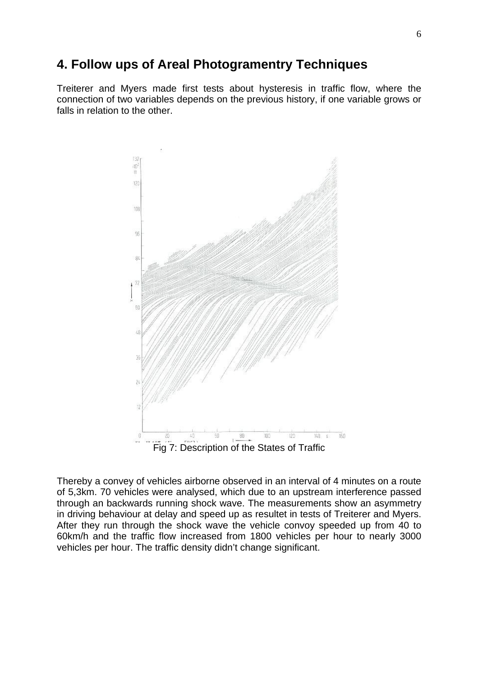## **4. Follow ups of Areal Photogramentry Techniques**

Treiterer and Myers made first tests about hysteresis in traffic flow, where the connection of two variables depends on the previous history, if one variable grows or falls in relation to the other.



Thereby a convey of vehicles airborne observed in an interval of 4 minutes on a route of 5,3km. 70 vehicles were analysed, which due to an upstream interference passed through an backwards running shock wave. The measurements show an asymmetry in driving behaviour at delay and speed up as resultet in tests of Treiterer and Myers. After they run through the shock wave the vehicle convoy speeded up from 40 to 60km/h and the traffic flow increased from 1800 vehicles per hour to nearly 3000 vehicles per hour. The traffic density didn't change significant.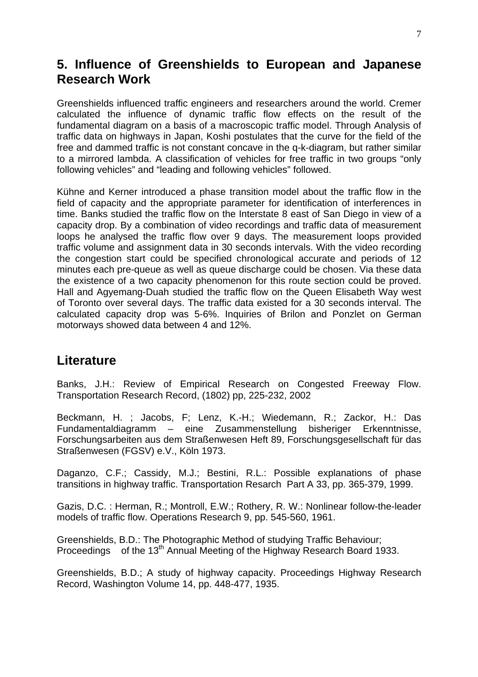#### **5. Influence of Greenshields to European and Japanese Research Work**

Greenshields influenced traffic engineers and researchers around the world. Cremer calculated the influence of dynamic traffic flow effects on the result of the fundamental diagram on a basis of a macroscopic traffic model. Through Analysis of traffic data on highways in Japan, Koshi postulates that the curve for the field of the free and dammed traffic is not constant concave in the q-k-diagram, but rather similar to a mirrored lambda. A classification of vehicles for free traffic in two groups "only following vehicles" and "leading and following vehicles" followed.

Kühne and Kerner introduced a phase transition model about the traffic flow in the field of capacity and the appropriate parameter for identification of interferences in time. Banks studied the traffic flow on the Interstate 8 east of San Diego in view of a capacity drop. By a combination of video recordings and traffic data of measurement loops he analysed the traffic flow over 9 days. The measurement loops provided traffic volume and assignment data in 30 seconds intervals. With the video recording the congestion start could be specified chronological accurate and periods of 12 minutes each pre-queue as well as queue discharge could be chosen. Via these data the existence of a two capacity phenomenon for this route section could be proved. Hall and Agyemang-Duah studied the traffic flow on the Queen Elisabeth Way west of Toronto over several days. The traffic data existed for a 30 seconds interval. The calculated capacity drop was 5-6%. Inquiries of Brilon and Ponzlet on German motorways showed data between 4 and 12%.

### **Literature**

Banks, J.H.: Review of Empirical Research on Congested Freeway Flow. Transportation Research Record, (1802) pp, 225-232, 2002

Beckmann, H. ; Jacobs, F; Lenz, K.-H.; Wiedemann, R.; Zackor, H.: Das Fundamentaldiagramm – eine Zusammenstellung bisheriger Erkenntnisse, Forschungsarbeiten aus dem Straßenwesen Heft 89, Forschungsgesellschaft für das Straßenwesen (FGSV) e.V., Köln 1973.

Daganzo, C.F.; Cassidy, M.J.; Bestini, R.L.: Possible explanations of phase transitions in highway traffic. Transportation Resarch Part A 33, pp. 365-379, 1999.

Gazis, D.C. : Herman, R.; Montroll, E.W.; Rothery, R. W.: Nonlinear follow-the-leader models of traffic flow. Operations Research 9, pp. 545-560, 1961.

Greenshields, B.D.: The Photographic Method of studying Traffic Behaviour; Proceedings of the 13<sup>th</sup> Annual Meeting of the Highway Research Board 1933.

Greenshields, B.D.; A study of highway capacity. Proceedings Highway Research Record, Washington Volume 14, pp. 448-477, 1935.